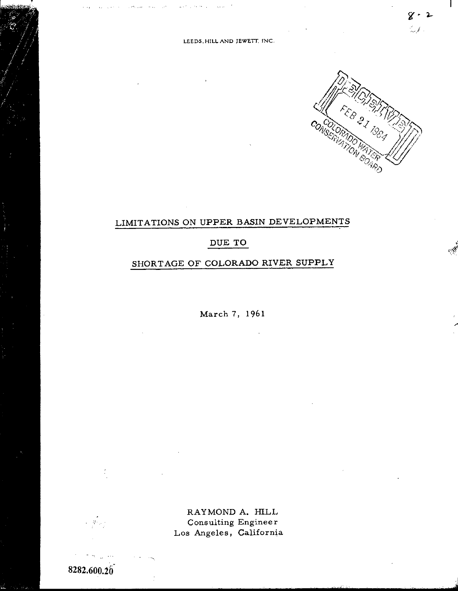

 $8 - 5$ i.<br>M

 $\mathbf{I}$ 

i~: t,

# LIMITATIONS ON UPPER BASIN DEVELOPMENTS

### DUE TO

## SHORTAGE OF COLORADO RIVER SUPPLY

March 7, 1961

RAYMOND A. HILL Consulting Engineer Los Angeles, California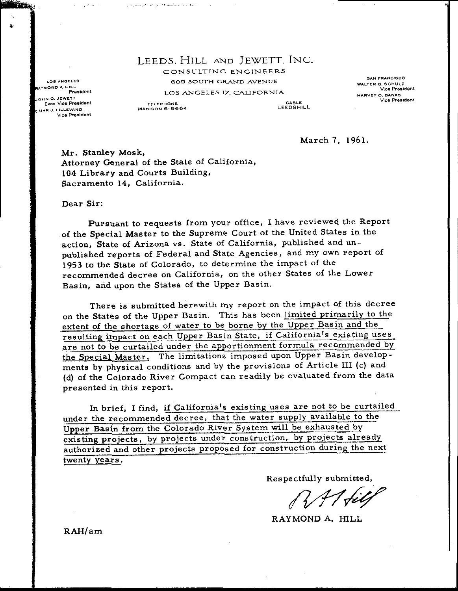### LEEDS, HILL AND JEWETT. INC. CONSULTING ENGINEERS 609 SOUTH GRAND AVENUE LOS ANGELES 17. CALIFORNIA

LOS ANGELES **AYMOND A. HILL** President OHN Q. JEWETT Exec. Vice President **AAR.J, LILLEVANG** Vice President

**Contractor** 

**Nillia** 

TELEPHONE MADISON 6:9664

الععاب بالعاموق ومعرف بالمتحرمة وتحاربني

CABLE LEEDSHILL

SAN FRANCISCO WALTER G. SCHULZ<br>Vice Presiden HARVEY O. BANKS Vice President

March 7, 1961.

Mr. Stanley Mosk, Attorney General of the State of California, 104 Library and Courts Building, Sacramento 14, California.

#### Dear Sir:

Pursuant to requests from your office, I have reviewed the Report of the Special Master to the Supreme Court of the United States in the action, State of Arizona vs. State of California, published and unpublished reports of Federal and State Agencies, and my own report of <sup>1953</sup> to the State of Colorado, to determine the impact of the recommended decree on California, on the other States of the Lower Basin, and upon the States of the Upper Basin.

There is submitted herewith my report on the impact of this decree on the States of the Upper Basin. This has been limited primarily to the extent of the shortage of water to be borne by the Upper Basin and the resulting impact on each Upper Basin State, if California's existing uses are not to be curtailed under the apportionment formula recommended by the Special Master. The limitations imposed upon Upper Basin developments by physical conditions and by the provisions of Article III (c) and d) of the Colorado River Compact can readily be evaluated from the data presented in this report.

In brief, I find, if California's existing uses are not to be curtailed under the recommended decree, that the water supply available to the Upper Basin from the Colorado River System will be exhausted by existing projects, by projects under construction, by projects already authorized and other projects proposed for construction during the next twenty years.

Respectfully submitted,

RAT fil

RAYMOND A. HILL

RAH/ am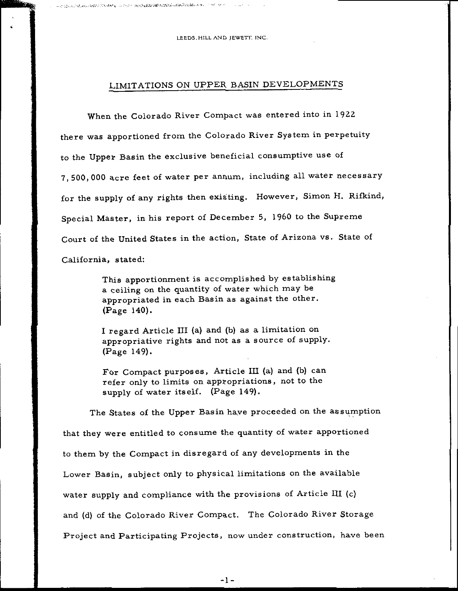LEEDS. HILL AND JEWETT, INC.

o';',:', "~"'.... . . ",;"",..;-~ FJ';"",\_' v:""\_'":'>\_''\_;'''~';'''''::':''-''' ""

### LIMITATIONS ON UPPER BASIN DEVELOPMENTS

When the Colorado River Compact was entered into in <sup>1922</sup> there was apportioned from the Colorado River System in perpetuity to the Upper Basin the exclusive beneficial consumptive use of 7, 500, 000 acre feet of water per annum, including all water necessary for the supply of any rights then existing. However, Simon H. Rifkind, Special Master, in his report of December 5, <sup>1960</sup> to the Supreme Court of the United States in the action, State of Arizona vs. State of California, stated:

> This apportionment is accomplished by establishing <sup>a</sup> ceiling on the quantity of water which may be appropriated in each Basin as against the other. Page 140).

I regard Article III (a) and (b) as a limitation on appropriative rights and not as <sup>a</sup> source of supply. Page 149).

For Compact purposes, Article III (a) and (b) can refer only to limits on appropriations, not to the supply of water itself. (Page 149).

The States of the Upper Basin have proceeded on the assumption that they were entitled to consume the quantity of water apportioned to them by the Compact in disregard of any developments in the Lower Basin, subject only to physical limitations on the available water supply and compliance with the provisions of Article III (c) and (d) of the Colorado River Compact. The Colorado River Storage Project and Participating Projects, now under construction, have been

 $-1-$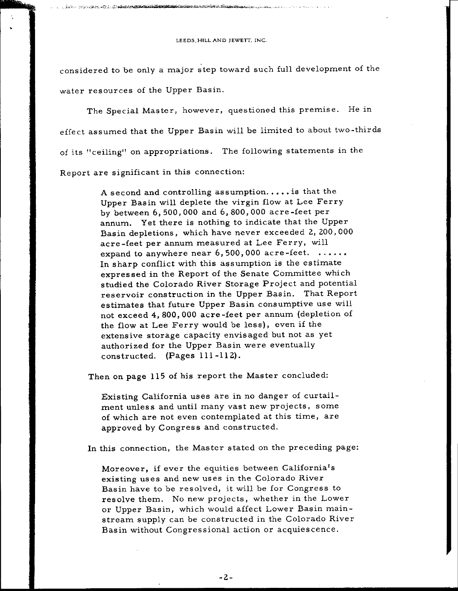| LEEDS HILL AND JEWETT, INC. |  |  |
|-----------------------------|--|--|
|-----------------------------|--|--|

 $\gamma_{1}^{*}\gamma_{2}^{*}$  ,  $\gamma_{2}^{*}\gamma_{3}^{*}$  ,  $\gamma_{3}^{*}\gamma_{4}^{*}$  ,  $\gamma_{4}^{*}\gamma_{5}^{*}$  ,  $\gamma_{5}^{*}\gamma_{6}^{*}$  ,  $\gamma_{6}^{*}\gamma_{7}^{*}$  ,  $\gamma_{8}^{*}\gamma_{9}^{*}$  ,  $\gamma_{1}^{*}\gamma_{1}^{*}$  ,  $\gamma_{2}^{*}\gamma_{3}^{*}$  ,  $\gamma_{3}^{*}\gamma_{4}^{*}$  ,  $\gamma_{4}^{*}\gamma_{5}^{*}$  ,

considered to be only <sup>a</sup> major step toward such full development of the water resources of the Upper Basin.

The Special Master, however, questioned this premise. He in effect assumed that the Upper Basin will be limited to about two-thirds of its " ceiling" on appropriations. The following statements in the Report are significant in this connection:

> A second and controlling assumption. ... . is that the Upper Basin will deplete the virgin flow at Lee Ferry by between 6, 500, <sup>000</sup> and 6, 800, <sup>000</sup> acre- feet per annum. Yet there is nothing to indicate that the Upper Basin depletions, which have never exceeded 2, 200, 000 acre -feet per annum measured at Lee Ferry, will expand to anywhere near  $6,500,000$  acre-feet.  $\dots\dots$ In sharp conflict with this assumption is the estimate expres sed in the Report of the Senate Committee which studied the Colorado River Storage Project and potential reservoir construction in the Upper Basin. That Report estimates that future Upper Basin consumptive use will not exceed 4, 800, <sup>000</sup> acre- feet per annum (depletion of the flow at Lee Ferry would be less), even if the extensive storage capacity envisaged but not as yet authorized for the Upper Basin were eventually constructed. (Pages 111-112).

Then on page <sup>115</sup> of his report the Master concluded:

Existing California uses are in no danger of curtailment unless and until many vast new projects, some of which are not even contemplated at this time, are approved by Congres <sup>s</sup> and cons tructed.

In this connection, the Master stated on the preceding page:

Moreover, if ever the equities between California's existing uses and new uses in the Colorado River Basin have to be resolved, it will be for Congress to resolve them. No new projects, whether in the Lower or Upper Basin, which would affect Lower Basin mainstream supply can be constructed in the Colorado River Basin without Congressional action or acquiescence.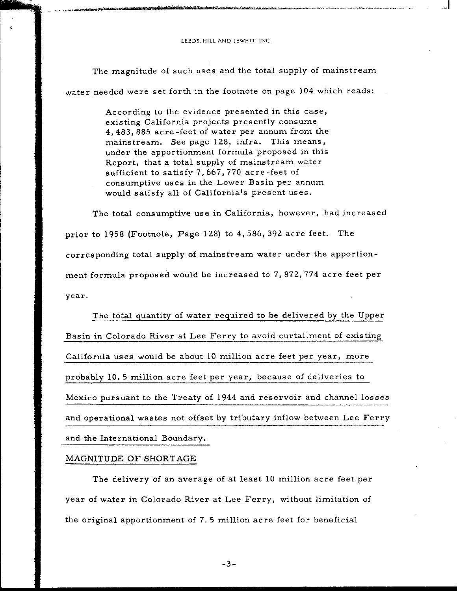h"'s and the complete of the complete of the complete of the complete of the complete of the complete of the complete of the complete of the complete of the complete of the complete of the complete of the complete of the c

The magnitude of such uses and the total supply of mainstream water needed were set forth in the footnote on page <sup>104</sup> which reads:

> According to the evidence presented in this case, existing California projects presently consume 4, 483, <sup>885</sup> acre- feet of water per annum from the mainstream. See page 128, infra. This means, under the apportionment formula proposed in this Report, that <sup>a</sup> total supply of mainstream water sufficient to satisfy 7, 667, <sup>770</sup> acre -feet of consumptive uses in the Lower Basin per annum would satisfy all of California's present uses.

The total consumptive use in California, however, had increased prior to 1958 (Footnote, Page 128) to 4, 586, 392 acre feet. The corresponding total supply of mainstream water under the apportionment formula proposed would be increased to 7, 872, <sup>774</sup> acre feet per year.

The total quantity of water required to be delivered by the Upper Basin in Colorado River at Lee Ferry to avoid curtailment of existing California uses would be about <sup>10</sup> million acre feet per year, more probably 10. <sup>5</sup> million acre feet per year, because of deliveries to Mexico pursuant to the Treaty of 1944 and reservoir and channel losses and operational wastes not offset by tributary inflow between Lee Ferry and the International Boundary.

#### MAGNITUDE OF SHORTAGE

lilJl>.

The delivery of an average of at least <sup>10</sup> million acre feet per year of water in Colorado River at Lee Ferry, without limitation of the original apportionment of 7. <sup>5</sup> million acre feet for beneficial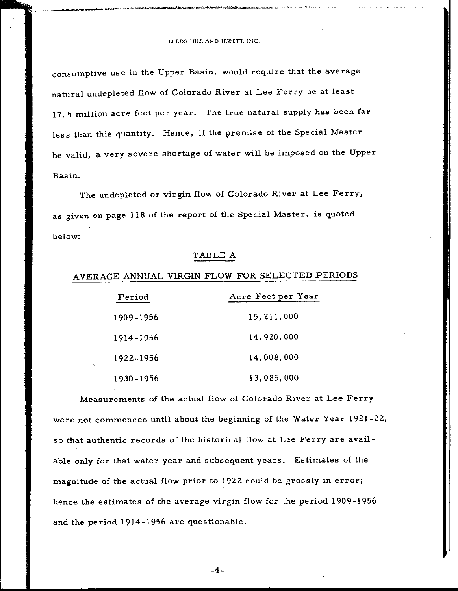$\mathcal{A}_\ell$  is the complex of  $\ell$  , the set of the contribution of  $\ell$  is the contribution of  $\ell$  . In the case of  $\ell$  ,  $\ell$  ,  $\ell$  ,  $\ell$ 

consumptive use in the Upper Basin, would require that the average natural undepleted flow of Colorado River at Lee Ferry be at least 17. <sup>5</sup> million acre feet per year. The true natural supply has been far less than this quantity. Hence, if the premise of the Special Master be valid, <sup>a</sup> very severe shortage of water will be imposed on the Upper Basin.

The undepleted or virgin flow of Colorado River at Lee Ferry, as given on page <sup>118</sup> of the report of the Special Master, is quoted below:

### TABLE A

### AVERAGE ANNUAL VIRGIN FLOW FOR SELECTED PERIODS

| Period    | Acre Fect per Year |
|-----------|--------------------|
| 1909-1956 | 15, 211, 000       |
| 1914-1956 | 14,920,000         |
| 1922-1956 | 14,008,000         |
| 1930-1956 | 13,085,000         |

Measurements of the actual flow of Colorado River at Lee Ferry were not commenced until about the beginning of the Water Year 1921-22, so that authentic records of the historical flow at Lee Ferry are available only for that water year and subsequent years. Estimates of the magnitude of the actual flow prior to <sup>1922</sup> could be grossly in error; hence the estimates of the average virgin flow for the period 1909-1956 and the period 1914- <sup>1956</sup> are questionable.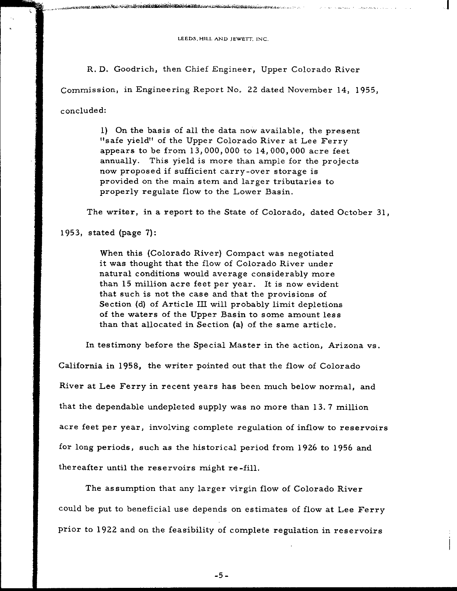|  |  |  | LEEDS HILL AND JEWETT. INC. |  |
|--|--|--|-----------------------------|--|
|--|--|--|-----------------------------|--|

w>i.~tI<\~,,~~~~~'(,~ J""'''''~''-''' t~~'~~' Sl.\!'i'l''':r.l~'~W:1!~. k;~ l~", jW...."",,,,.-,..-\_"

R. D. Goodrich, then Chief Engineer, Upper Colorado River Commission, in Engineering Report No. 22 dated November 14, 1955, concluded:

> 1) On the basis of all the data now available, the present "safe yield" of the Upper Colorado River at Lee Ferry appears to be from 13, 000, <sup>000</sup> to 14, 000, <sup>000</sup> acre feet annually. This yield is more than ample for the projects now proposed if sufficient carry-over storage is provided on the main stem and larger tributaries to properly regulate flow to the Lower Basin.

The writer, in a report to the State of Colorado, dated October 31

1953, stated (page 7):

When this (Colorado River) Compact was negotiated it was thought that the flow of Colorado River under natural conditions would average considerably more than <sup>15</sup> million acre feet per year. It is now evident that such is not the case and that the provisions of Section (d) of Article III will probably limit depletions of the waters of the Upper Basin to some amount less than that allocated in Section (a) of the same article.

In testimony before the Special Master in the action, Arizona vs.

California in 1958, the writer pointed out that the flow of Colorado River at Lee Ferry in recent years has been much below normal, and that the dependable undepleted supply was no more than 13.7 million acre feet per year, involving complete regulation of inflow to reservoirs for long periods, such as the historical period from <sup>1926</sup> to <sup>1956</sup> and thereafter until the reservoirs might re -fill.

The assumption that any larger virgin flow of Colorado River could be put to beneficial use depends on estimates of flow at Lee Ferry prior to <sup>1922</sup> and on the feasibility of complete regulation in reservoirs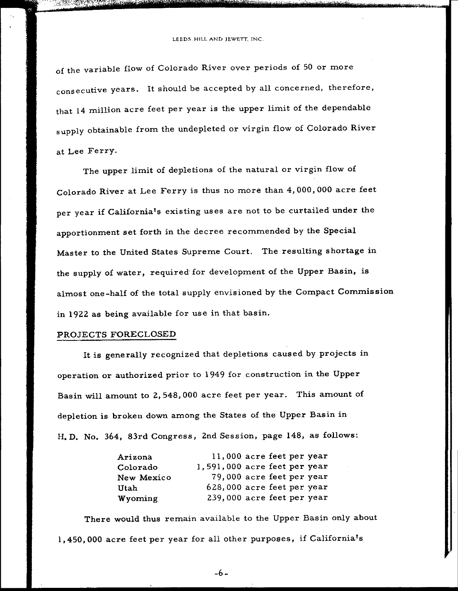r-~E~::I!B~'{'>>:':oz:~~",: -~~~."~~" ',' k

of the variable flow of Colorado River over periods of <sup>50</sup> or more consecutive years. It should be accepted by all concerned, therefore, that <sup>14</sup> million acre feet per year is the upper limit of the dependable supply obtainable from the undep1eted or virgin flow of Colorado River at Lee Ferry.

The upper limit of depletions of the natural or virgin flow of Colorado River at Lee Ferry is thus no more than 4, 000, <sup>000</sup> acre feet per year if California's existing uses are not to be curtailed under the apportionment set forth in the decree recommended by the Special Master to the United States Supreme Court. The resulting shortage in the supply of water, required for development of the Upper Basin, is almost one-half of the total supply envisioned by the Compact Commission in <sup>1922</sup> as being available for use in that basin.

#### PROJECTS FORECLOSED

It is generally recognized that depletions caused by projects in operation or authorized prior to <sup>1949</sup> for construction in the Upper Basin will amount to 2, 548, <sup>000</sup> acre feet per year. This amount of depletion is broken down among the States of the Upper Basin in H. D. No. 364, 83rd Congress, 2nd Session, page 148, as follows:

| Arizona    | 11,000 acre feet per year      |
|------------|--------------------------------|
| Colorado   | $1,591,000$ acre feet per year |
| New Mexico | 79,000 acre feet per year      |
| Utah       | 628,000 acre feet per year     |
| Wyoming    | 239,000 acre feet per year     |

There would thus remain available to the Upper Basin only about 1, 450, 000 acre feet per year for all other purposes, if California's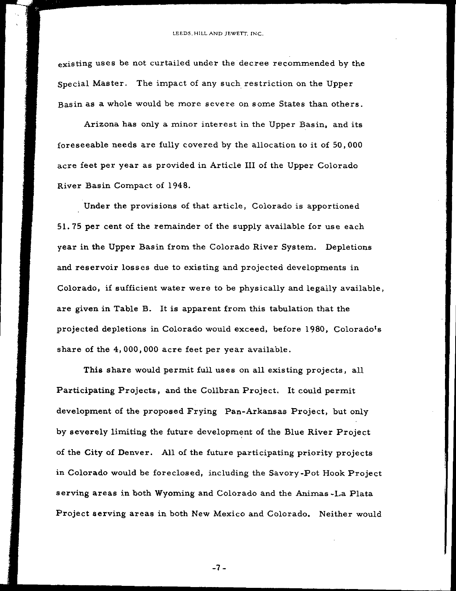existing uses be not curtailed under the decree recommended by the Special Master. The impact of any such restriction on the Upper Basin as a whole would be more severe on some States than others.

Arizona has only <sup>a</sup> minor interest in the Upper Basin, and its foreseeable needs are fully covered by the allocation to it of 50, <sup>000</sup> acre feet per year as provided in Article III of the Upper Colorado River Basin Compact of 1948.

Under the provisions of that article, Colorado is apportioned 51. 75 per cent of the remainder of the supply available for use each year in the Upper Basin from the Colorado River System. Depletions and reservoir losses due to existing and projected developments in Colorado, if sufficient water were to be physically and legally available, are given in Table B. It is apparent from this tabulation that the projected depletions in Colorado would exceed, before 1980, Colorado's share of the 4, 000, 000 acre feet per year available.

This share would permit full uses on all existing projects, all Participating Projects, and the Collbran Project. It could permit development of the proposed Frying Pan-Arkansas Project, but only by severely limiting the future development of the Blue River Project of the City of Denver. All of the future participating priority projects in Colorado would be foreclosed, including the Savory- Pot Hook Project serving areas in both Wyoming and Colorado and the Animas -La Plata Project serving areas in both New Mexico and Colorado. Neither would

 $-7 -$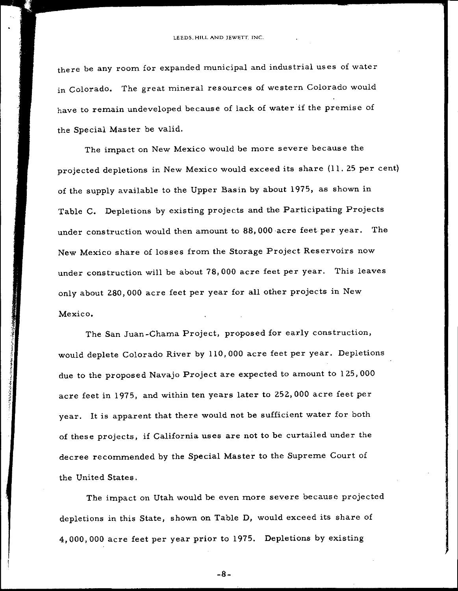there be any room for expanded municipal and industrial uses of water in Colorado. The great mineral resources of western Colorado would have to remain undeveloped because of lack of water if the premise of the Special Master be valid.

The impact on New Mexico would be more severe because the projected depletions in New Mexico would exceed its share (11.25 per cent) of the supply available to the Upper Basin by about 1975, as shown in Table C. Depletions by existing projects and the Participating Projects under construction would then amount to 88, 000 -acre feet per year. The New Mexico share of losses from the Storage Project Reservoirs now under construction will be about 78, 000 acre feet per year. This leaves only about 280, <sup>000</sup> acre feet per year for all other projects in New Mexico.

The San Juan-Chama Project, proposed for early construction, would deplete Colorado River by 110, <sup>000</sup> acre feet per year. Depletions due to the proposed Navajo Project are expected to amount to 125, <sup>000</sup> acre feet in 1975, and within ten years later to 252, <sup>000</sup> acre feet per year. It is apparent that there would not be sufficient water for both of these projects, if California uses are not to be curtailed under the decree recommended by the Special Master to the Supreme Court of the United States.

1 it 3 I t 1

s

The impact on Utah would be even more severe because projected depletions in this State, shown on Table D, would exceed its share of 4, 000, 000 acre feet per year prior to 1975. Depletions by existing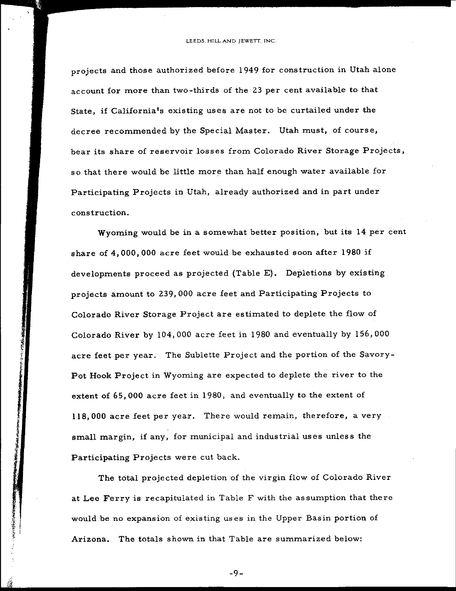projects and those authorized before <sup>1949</sup> for construction in Utah alone account for more than two- thirds of the <sup>23</sup> per cent available to that State, if California's existing uses are not to be curtailed under the decree recommended by the Special Master. Utah must, of course, bear its share of reservoir losses from Colorado River Storage Projects, so that there would be little more than half enough water available for Participating Projects in Utah, already authorized and in part under construction.

Wyoming would be in <sup>a</sup> somewhat better position, but its <sup>14</sup> per cent share of 4, 000, <sup>000</sup> acre feet would be exhausted soon after <sup>1980</sup> if developments proceed as projected (Table E). Depletions by existing projects amount to 239, <sup>000</sup> acre feet and Participating Projects to Colorado River Storage Project are estimated to deplete the flow of Colorado River by 104, <sup>000</sup> acre feet in <sup>1980</sup> and eventually by 156, 000 acre feet per year. The Sublette Project and the portion of the Savory-Pot Hook Project in Wyoming are expected to deplete the river to the extent of 65, 000 acre feet in 1980, and eventually to the extent of 118, <sup>000</sup> acre feet per year. There would remain, therefore, <sup>a</sup> very small margin, if any, for municipal and industrial uses unless the Participating Projects were cut back.

 $\mathbb{C}$ 

if

 $\mathcal{F}_\mathcal{F}$ Frankling<br>Frankling

The total projected depletion of the virgin flow of Colorado River at Lee Ferry is recapitulated in Table F with the assumption that there would be no expansion of existing us es in the Upper Basin portion of Arizona. The totals shown in that Table are summarized below:

 $-9-$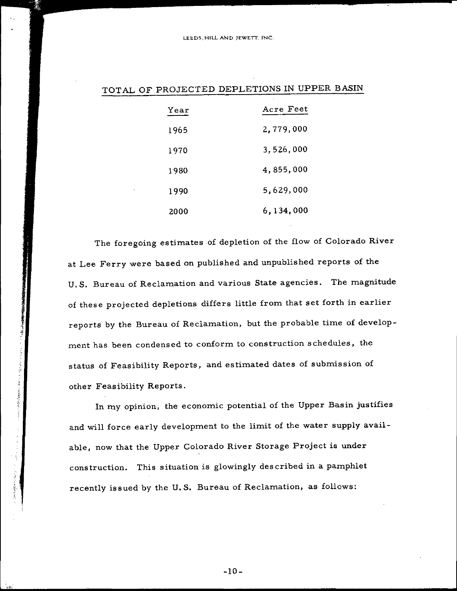| Year | Acre Feet |
|------|-----------|
| 1965 | 2,779,000 |
| 1970 | 3,526,000 |
| 1980 | 4,855,000 |
| 1990 | 5,629,000 |
| 2000 | 6,134,000 |

### TOTAL OF PROJECTED DEPLETIONS IN UPPER BASIN

The foregoing estimates of depletion of the flow of Colorado River at Lee Ferry were based on published and unpublished reports of the U. S. Bureau of Reclamation and various State agencies. The magnitude of these projected depletions differs little from that set forth in earlier reports by the Bureau of Reclamation, but the probable time of development has been condensed to conform to construction schedules, the status of Feasibility Reports, and estimated dates of submission of other Feasibility Reports.

7

アイ・ランク きょうきんぶつ てきまく 直接変換する きんそく

ii.

In my opinion, the economic potential of the Upper Basin justifies and will force early development to the limit of the water supply available, now that the Upper Colorado River Storage Project is under construction. This situation is glowingly des cribed in <sup>a</sup> pamphlet recently issued by the U. S. Bureau of Reclamation, as follows: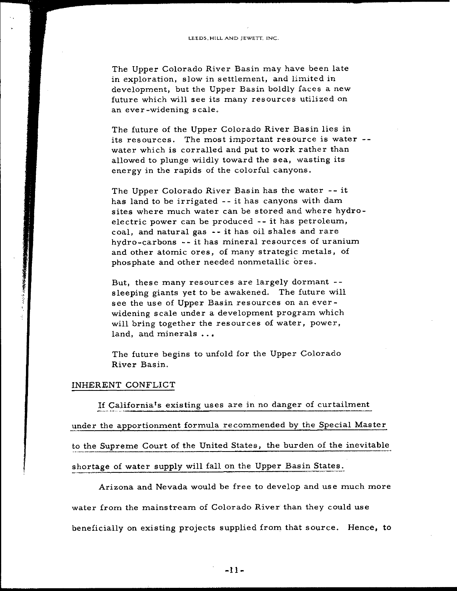The Upper Colorado River Basin may have been late in exploration, slow in settlement, and limited in development, but the Upper Basin boldly faces <sup>a</sup> new future which will see its many resources utilized on an ever-widening scale.

The future of the Upper Colorado River Basin lies in its resources. The most important resource is water water which is corralled and put to work rather than allowed to plunge wildly toward the sea, wasting its energy in the rapids of the colorful canyons.

The Upper Colorado River Basin has the water -- it has land to be irrigated -- it has canyons with dam sites where much water can be stored and where hydroelectric power can be produced -- it has petroleum, coal, and natural gas - - it has oil shales and rare hydro-carbons -- it has mineral resources of uranium and other atomic ores, of many strategic metals, of phosphate and other needed nonmetallic ores.

But, these many resources are largely dormant sleeping giants yet to be awakened. The future will see the use of Upper Basin resources on an everwidening scale under <sup>a</sup> development program which will bring together the resources of water, power, land, and minerals ...

The future begins to unfold for the Upper Colorado River Basin.

### INHERENT CONFLICT

If California's existing uses are in no danger of curtailment under the apportionment formula recommended by the Special Master to the Supreme Court of the United States, the burden of the inevitable shortage of water supply will fall on the Upper Basin States.

Arizona and Nevada would be free to develop and use much more water from the mainstream of Colorado River than they could use beneficially on existing projects supplied from that source. Hence, to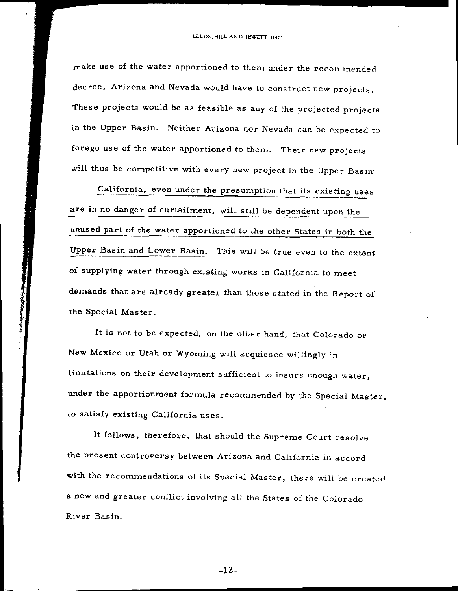make use of the water apportioned to them under the recommended decree, Arizona and Nevada would have to construct new projects. These projects would be as feasible as any of the projected projects in the Upper Basin. Neither Arizona nor Nevada can be expected to forego use of the water apportioned to them. Their new projects will thus be competitive with every new project in the Upper Basin.

California, even under the presumption that its existing uses are in no danger of curtailment, will still be dependent upon the unused part of the water apportioned to the other States in both the Upper Basin and Lower Basin. This will be true even to the extent of supplying water through existing works in California to meet demands that are already greater than those stated in the Report of the Special Master.

It is not to be expected, on the other hand, that Colorado or New Mexico or Utah or Wyoming will acquiesce willingly in limitations on their development sufficient to insure enough water, under the apportionment formula recommended by the Special Master, to satisfy existing California uses.

th thinks t

> It follows, therefore, that should the Supreme Court resolve the present controversy between Arizona and California in accord with the recommendations of its Special Master, there will be created <sup>a</sup> new and greater conflict involving all the States of the Colorado River Basin.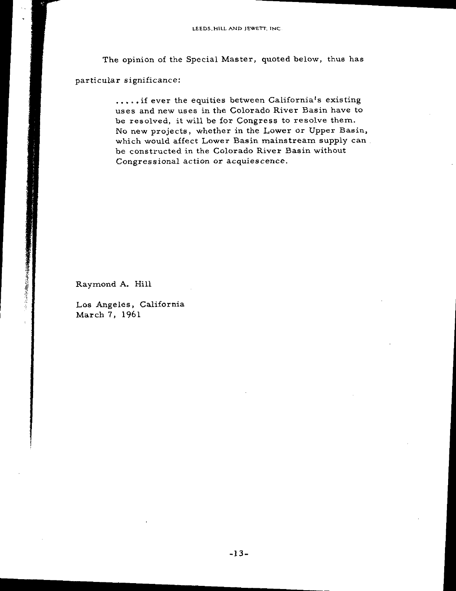I

The opinion of the Special Master, quoted below, thus has

particular significance:

..... if ever the equities between California's existing uses and new uses in the Colorado River Basin have to be resolved, it will be for Congress to resolve them. No new projects, whether in the Lower or Upper Basin, which would affect Lower Basin mainstream supply can. be constructed in the Colorado River Basin without Congressional action or acquiescence.

Raymond A. Hill

無機数のでもはの数のというに し

Los Angeles, California March 7, 1961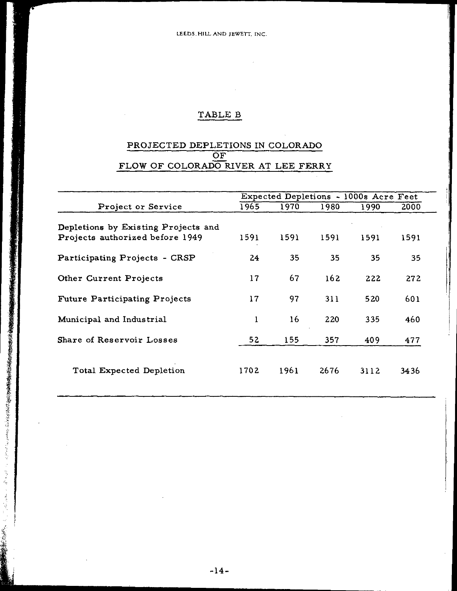# TABLE B

# PROJECTED DEPLETIONS IN COLORADO OF FLOW OF COLORADO RIVER AT LEE FERRY

|                                      | Expected Depletions - 1000s Acre Feet |      |      |      |      |  |  |
|--------------------------------------|---------------------------------------|------|------|------|------|--|--|
| Project or Service                   | 1965                                  | 1970 | 1980 | 1990 | 2000 |  |  |
| Depletions by Existing Projects and  |                                       |      |      |      |      |  |  |
| Projects authorized before 1949      | 1591                                  | 1591 | 1591 | 1591 | 1591 |  |  |
| Participating Projects - CRSP        | 24                                    | 35   | 35   | 35   | 35   |  |  |
| Other Current Projects               | 17                                    | 67   | 162  | 222  | 272  |  |  |
| <b>Future Participating Projects</b> | 17                                    | 97   | 311  | 520  | 601  |  |  |
| Municipal and Industrial             | 1                                     | 16   | 220  | 335  | 460  |  |  |
| Share of Reservoir Losses            | 52                                    | 155  | 357  | 409  | 477  |  |  |
| Total Expected Depletion             | 1702                                  | 1961 | 2676 | 3112 | 3436 |  |  |

je de de la Concerte

**Mandelphilips** 

**the complete of the complete** 

t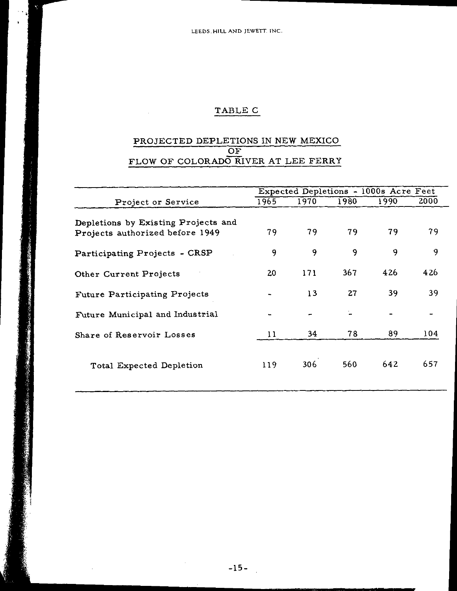# TABLE C

## PROJECTED DEPLETIONS IN NEW MEXICO OF FLOW OF COLORADO RIVER AT LEE FERRY

|                                                                        |       | Expected Depletions - 1000s Acre Feet |      |      |      |
|------------------------------------------------------------------------|-------|---------------------------------------|------|------|------|
| Project or Service                                                     | 1965. | 1970                                  | 1980 | 1990 | 2000 |
| Depletions by Existing Projects and<br>Projects authorized before 1949 | 79    | 79                                    | 79   | 79   | 79   |
| Participating Projects - CRSP                                          | 9     | 9                                     | 9    | 9    | 9    |
| Other Current Projects                                                 | 20    | 171                                   | 367. | 426  | 426  |
| Future Participating Projects                                          |       | 13                                    | 27   | 39   | 39   |
| Future Municipal and Industrial                                        |       | -                                     |      |      |      |
| Share of Reservoir Losses                                              | 11    | 34                                    | 78   | 89   | 104  |
| Total Expected Depletion                                               | 119   | 306                                   | 560  | 642  | 657  |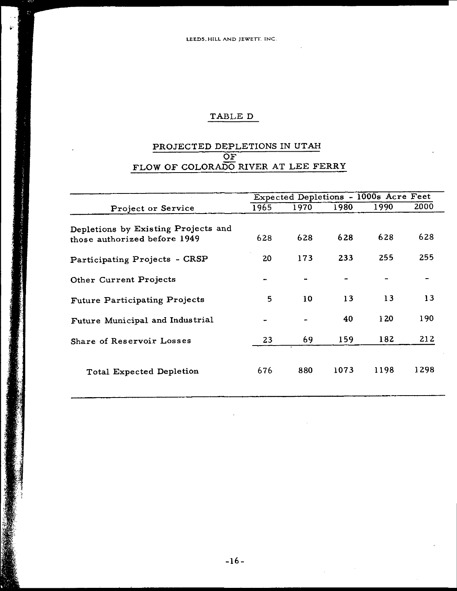# TABLE D

## PROJECTED DEPLETIONS IN UTAH OF FLOW OF COLORADO RIVER AT LEE FERRY

 $\label{eq:3.1} \begin{aligned} \text{diag} \left\{ \hat{S}_{\text{R}} \hat{S}_{\text{R}} \hat{S}_{\text{R}} \hat{S}_{\text{R}} \hat{S}_{\text{R}} \hat{S}_{\text{R}} \hat{S}_{\text{R}} \hat{S}_{\text{R}} \hat{S}_{\text{R}} \hat{S}_{\text{R}} \hat{S}_{\text{R}} \hat{S}_{\text{R}} \hat{S}_{\text{R}} \hat{S}_{\text{R}} \hat{S}_{\text{R}} \hat{S}_{\text{R}} \hat{S}_{\text{R}} \hat{S}_{\text{R}} \hat{S}_{\text{R}} \hat{S}_{\text$ 

|                                     |      | Expected Depletions - 1000s Acre Feet |      |      |      |  |
|-------------------------------------|------|---------------------------------------|------|------|------|--|
| Project or Service                  | 1965 | 1970                                  | 1980 | 1990 | 2000 |  |
| Depletions by Existing Projects and |      |                                       |      |      |      |  |
| those authorized before 1949        | 628  | 628                                   | 628  | 628  | 628  |  |
| Participating Projects - CRSP       | 20   | 173                                   | 233  | 255  | 255  |  |
| Other Current Projects              |      |                                       |      |      |      |  |
| Future Participating Projects       | 5    | 10                                    | 13   | 13   | 13   |  |
| Future Municipal and Industrial     |      |                                       | 40   | 120  | 190  |  |
| Share of Reservoir Losses           | 23   | 69                                    | 159  | 182  | 212  |  |
| Total Expected Depletion            | 676  | 880                                   | 1073 | 1198 | 1298 |  |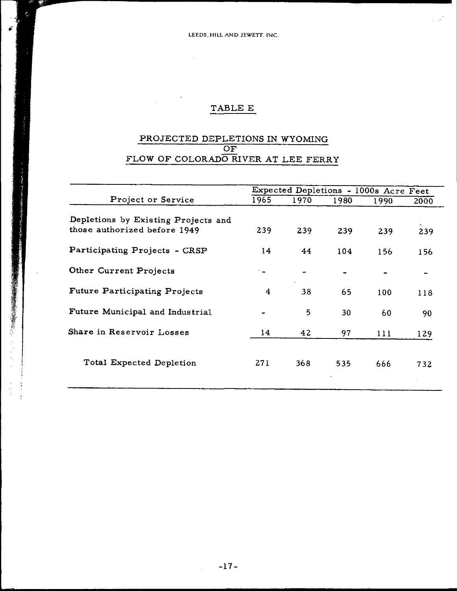LEEDS, HILL AND JEWETT. INC

 $\sim$ 

# TABLE E

## PROJECTED DEPLETIONS IN WYOMING OF FLOW OF COLORADO RIVER AT LEE FERRY

|                                      | Expected Depletions - 1000s Acre Feet |      |      |      |      |  |
|--------------------------------------|---------------------------------------|------|------|------|------|--|
| Project or Service                   | 1965                                  | 1970 | 1980 | 1990 | 2000 |  |
| Depletions by Existing Projects and  |                                       |      |      |      |      |  |
| those authorized before 1949         | 239                                   | 239  | 239  | 239  | 239  |  |
| Participating Projects - CRSP        | 14                                    | 44   | 104  | 156  | 156  |  |
| Other Current Projects               |                                       |      |      |      |      |  |
| <b>Future Participating Projects</b> | $\overline{4}$                        | 38   | 65   | 100  | 118  |  |
| Future Municipal and Industrial      |                                       | 5    | 30   | 60   | 90   |  |
| Share in Reservoir Losses            | 14                                    | 42   | 97   | 111  | 129  |  |
| Total Expected Depletion             | 271                                   | 368  | 535  | 666  | 732  |  |

f<;-

 $\begin{array}{c} 1 \\ 1 \\ 2 \end{array}$  $\ddot{\cdot}$ 

**CONTRACTOR CONTRACTOR CONTRACTOR CONTRACTOR CONTRACTOR CON CONTRACTOR CONTRACTOR CONTRACTOR CONTRACTOR CONTRACTOR** 

 $\mathcal{A}^{\mathcal{A}}$ 豵

 $\tilde{\bullet}$ 

 $-17-$ 

 $\mathbf{r}$